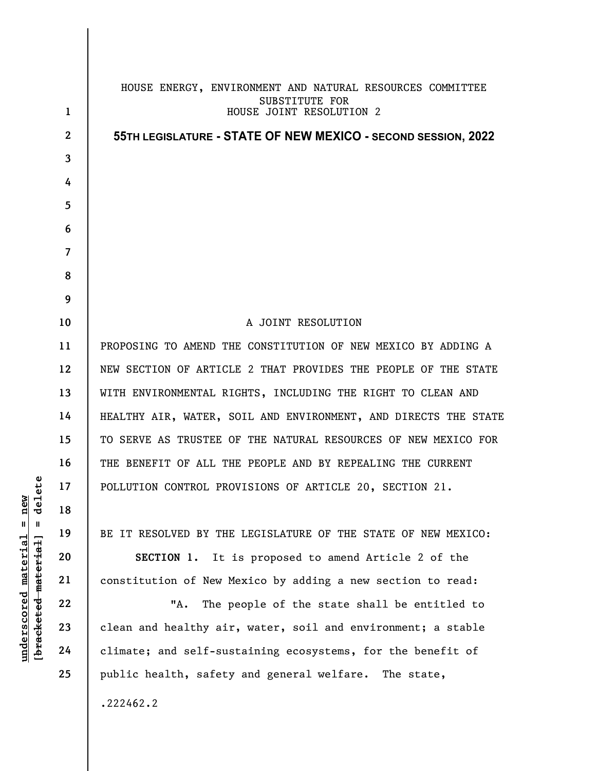|                                                  | 1              | HOUSE ENERGY, ENVIRONMENT AND NATURAL RESOURCES COMMITTEE<br>SUBSTITUTE FOR<br>HOUSE JOINT RESOLUTION 2 |
|--------------------------------------------------|----------------|---------------------------------------------------------------------------------------------------------|
|                                                  | $\mathbf{2}$   |                                                                                                         |
|                                                  | 3              | 55TH LEGISLATURE - STATE OF NEW MEXICO - SECOND SESSION, 2022                                           |
|                                                  |                |                                                                                                         |
|                                                  | 4              |                                                                                                         |
|                                                  | 5              |                                                                                                         |
|                                                  | 6              |                                                                                                         |
|                                                  | $\overline{7}$ |                                                                                                         |
|                                                  | 8              |                                                                                                         |
|                                                  | 9              |                                                                                                         |
|                                                  | 10             | A JOINT RESOLUTION                                                                                      |
|                                                  | 11             | PROPOSING TO AMEND THE CONSTITUTION OF NEW MEXICO BY ADDING A                                           |
|                                                  | 12             | NEW SECTION OF ARTICLE 2 THAT PROVIDES THE PEOPLE OF THE STATE                                          |
|                                                  | 13             | WITH ENVIRONMENTAL RIGHTS, INCLUDING THE RIGHT TO CLEAN AND                                             |
|                                                  | 14             | HEALTHY AIR, WATER, SOIL AND ENVIRONMENT, AND DIRECTS THE STATE                                         |
| ě٩<br>new<br>de <sub>1</sub>                     | 15             | TO SERVE AS TRUSTEE OF THE NATURAL RESOURCES OF NEW MEXICO FOR                                          |
|                                                  | 16             | THE BENEFIT OF ALL THE PEOPLE AND BY REPEALING THE CURRENT                                              |
|                                                  | 17             | POLLUTION CONTROL PROVISIONS OF ARTICLE 20, SECTION 21.                                                 |
|                                                  | 18             |                                                                                                         |
| $\mathsf{I}$<br>H                                | 19             | BE IT RESOLVED BY THE LEGISLATURE OF THE STATE OF NEW MEXICO:                                           |
| <u>material</u>                                  | 20             | SECTION 1. It is proposed to amend Article 2 of the                                                     |
|                                                  | 21             | constitution of New Mexico by adding a new section to read:                                             |
|                                                  | 22             | "A.<br>The people of the state shall be entitled to                                                     |
| [ <del>bracketed material</del> ]<br>underscored | 23             | clean and healthy air, water, soil and environment; a stable                                            |
|                                                  | 24             | climate; and self-sustaining ecosystems, for the benefit of                                             |
|                                                  | 25             | public health, safety and general welfare. The state,                                                   |
|                                                  |                | .222462.2                                                                                               |
|                                                  |                |                                                                                                         |